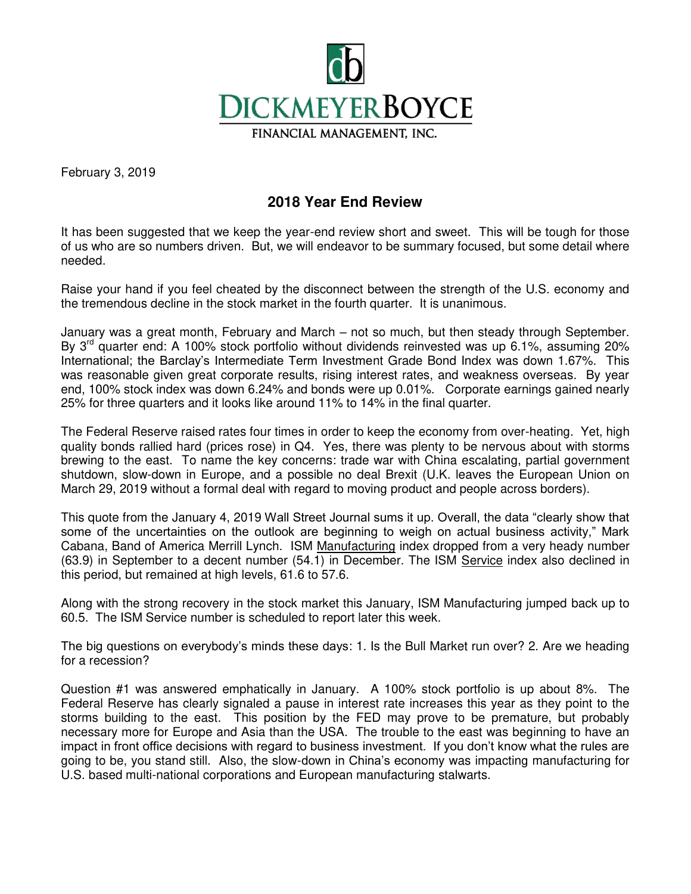

February 3, 2019

## **2018 Year End Review**

It has been suggested that we keep the year-end review short and sweet. This will be tough for those of us who are so numbers driven. But, we will endeavor to be summary focused, but some detail where needed.

Raise your hand if you feel cheated by the disconnect between the strength of the U.S. economy and the tremendous decline in the stock market in the fourth quarter. It is unanimous.

January was a great month, February and March – not so much, but then steady through September. By  $3<sup>rd</sup>$  quarter end: A 100% stock portfolio without dividends reinvested was up 6.1%, assuming 20% International; the Barclay's Intermediate Term Investment Grade Bond Index was down 1.67%. This was reasonable given great corporate results, rising interest rates, and weakness overseas. By year end, 100% stock index was down 6.24% and bonds were up 0.01%. Corporate earnings gained nearly 25% for three quarters and it looks like around 11% to 14% in the final quarter.

The Federal Reserve raised rates four times in order to keep the economy from over-heating. Yet, high quality bonds rallied hard (prices rose) in Q4. Yes, there was plenty to be nervous about with storms brewing to the east. To name the key concerns: trade war with China escalating, partial government shutdown, slow-down in Europe, and a possible no deal Brexit (U.K. leaves the European Union on March 29, 2019 without a formal deal with regard to moving product and people across borders).

This quote from the January 4, 2019 Wall Street Journal sums it up. Overall, the data "clearly show that some of the uncertainties on the outlook are beginning to weigh on actual business activity," Mark Cabana, Band of America Merrill Lynch. ISM Manufacturing index dropped from a very heady number (63.9) in September to a decent number (54.1) in December. The ISM Service index also declined in this period, but remained at high levels, 61.6 to 57.6.

Along with the strong recovery in the stock market this January, ISM Manufacturing jumped back up to 60.5. The ISM Service number is scheduled to report later this week.

The big questions on everybody's minds these days: 1. Is the Bull Market run over? 2. Are we heading for a recession?

Question #1 was answered emphatically in January. A 100% stock portfolio is up about 8%. The Federal Reserve has clearly signaled a pause in interest rate increases this year as they point to the storms building to the east. This position by the FED may prove to be premature, but probably necessary more for Europe and Asia than the USA. The trouble to the east was beginning to have an impact in front office decisions with regard to business investment. If you don't know what the rules are going to be, you stand still. Also, the slow-down in China's economy was impacting manufacturing for U.S. based multi-national corporations and European manufacturing stalwarts.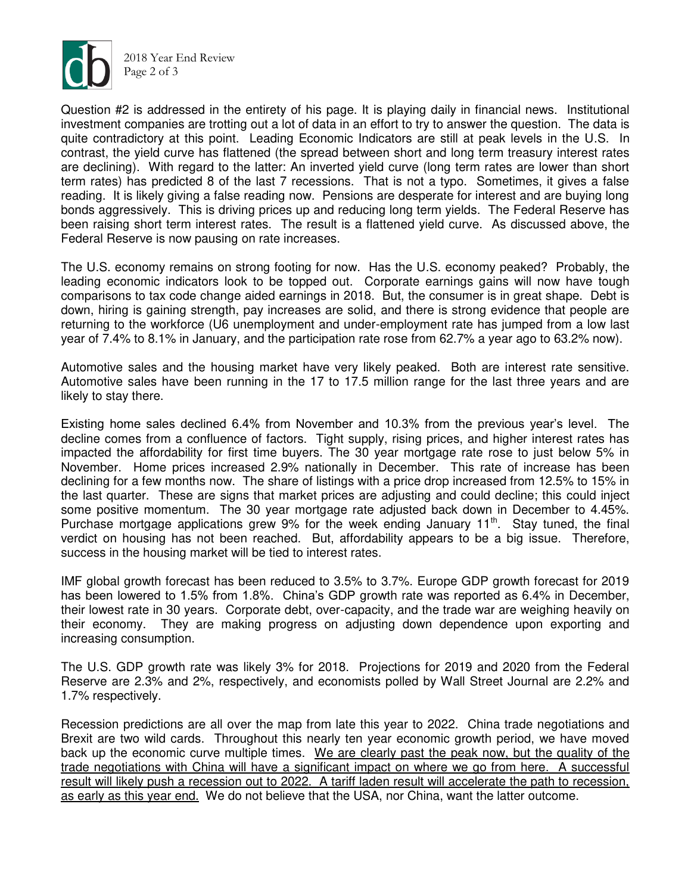

2018 Year End Review Page 2 of 3

Question #2 is addressed in the entirety of his page. It is playing daily in financial news. Institutional investment companies are trotting out a lot of data in an effort to try to answer the question. The data is quite contradictory at this point. Leading Economic Indicators are still at peak levels in the U.S. In contrast, the yield curve has flattened (the spread between short and long term treasury interest rates are declining). With regard to the latter: An inverted yield curve (long term rates are lower than short term rates) has predicted 8 of the last 7 recessions. That is not a typo. Sometimes, it gives a false reading. It is likely giving a false reading now. Pensions are desperate for interest and are buying long bonds aggressively. This is driving prices up and reducing long term yields. The Federal Reserve has been raising short term interest rates. The result is a flattened yield curve. As discussed above, the Federal Reserve is now pausing on rate increases.

The U.S. economy remains on strong footing for now. Has the U.S. economy peaked? Probably, the leading economic indicators look to be topped out. Corporate earnings gains will now have tough comparisons to tax code change aided earnings in 2018. But, the consumer is in great shape. Debt is down, hiring is gaining strength, pay increases are solid, and there is strong evidence that people are returning to the workforce (U6 unemployment and under-employment rate has jumped from a low last year of 7.4% to 8.1% in January, and the participation rate rose from 62.7% a year ago to 63.2% now).

Automotive sales and the housing market have very likely peaked. Both are interest rate sensitive. Automotive sales have been running in the 17 to 17.5 million range for the last three years and are likely to stay there.

Existing home sales declined 6.4% from November and 10.3% from the previous year's level. The decline comes from a confluence of factors. Tight supply, rising prices, and higher interest rates has impacted the affordability for first time buyers. The 30 year mortgage rate rose to just below 5% in November. Home prices increased 2.9% nationally in December. This rate of increase has been declining for a few months now. The share of listings with a price drop increased from 12.5% to 15% in the last quarter. These are signs that market prices are adjusting and could decline; this could inject some positive momentum. The 30 year mortgage rate adjusted back down in December to 4.45%. Purchase mortgage applications grew 9% for the week ending January  $11<sup>th</sup>$ . Stay tuned, the final verdict on housing has not been reached. But, affordability appears to be a big issue. Therefore, success in the housing market will be tied to interest rates.

IMF global growth forecast has been reduced to 3.5% to 3.7%. Europe GDP growth forecast for 2019 has been lowered to 1.5% from 1.8%. China's GDP growth rate was reported as 6.4% in December, their lowest rate in 30 years. Corporate debt, over-capacity, and the trade war are weighing heavily on their economy. They are making progress on adjusting down dependence upon exporting and increasing consumption.

The U.S. GDP growth rate was likely 3% for 2018. Projections for 2019 and 2020 from the Federal Reserve are 2.3% and 2%, respectively, and economists polled by Wall Street Journal are 2.2% and 1.7% respectively.

Recession predictions are all over the map from late this year to 2022. China trade negotiations and Brexit are two wild cards. Throughout this nearly ten year economic growth period, we have moved back up the economic curve multiple times. We are clearly past the peak now, but the quality of the trade negotiations with China will have a significant impact on where we go from here. A successful result will likely push a recession out to 2022. A tariff laden result will accelerate the path to recession, as early as this year end. We do not believe that the USA, nor China, want the latter outcome.